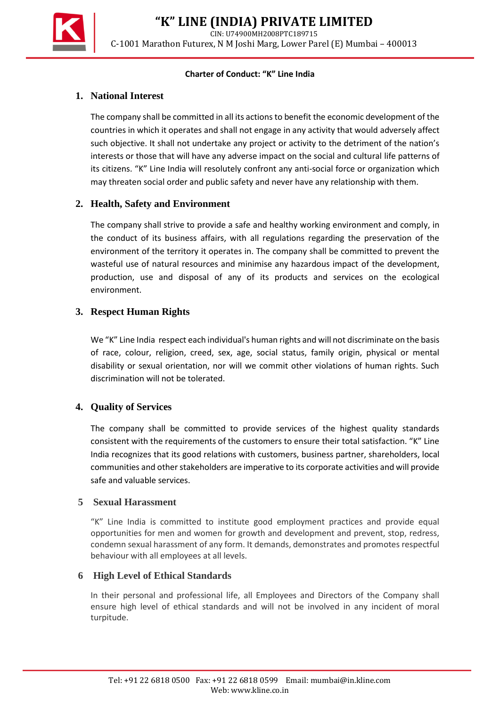**"K" LINE (INDIA) PRIVATE LIMITED**

CIN: U74900MH2008PTC189715

C-1001 Marathon Futurex, N M Joshi Marg, Lower Parel (E) Mumbai – 400013

#### **Charter of Conduct: "K" Line India**

## **1. National Interest**

The company shall be committed in all its actions to benefit the economic development of the countries in which it operates and shall not engage in any activity that would adversely affect such objective. It shall not undertake any project or activity to the detriment of the nation's interests or those that will have any adverse impact on the social and cultural life patterns of its citizens. "K" Line India will resolutely confront any anti-social force or organization which may threaten social order and public safety and never have any relationship with them.

## **2. Health, Safety and Environment**

The company shall strive to provide a safe and healthy working environment and comply, in the conduct of its business affairs, with all regulations regarding the preservation of the environment of the territory it operates in. The company shall be committed to prevent the wasteful use of natural resources and minimise any hazardous impact of the development, production, use and disposal of any of its products and services on the ecological environment.

## **3. Respect Human Rights**

We "K" Line India respect each individual's human rights and will not discriminate on the basis of race, colour, religion, creed, sex, age, social status, family origin, physical or mental disability or sexual orientation, nor will we commit other violations of human rights. Such discrimination will not be tolerated.

# **4. Quality of Services**

The company shall be committed to provide services of the highest quality standards consistent with the requirements of the customers to ensure their total satisfaction. "K" Line India recognizes that its good relations with customers, business partner, shareholders, local communities and other stakeholders are imperative to its corporate activities and will provide safe and valuable services.

### **5 Sexual Harassment**

"K" Line India is committed to institute good employment practices and provide equal opportunities for men and women for growth and development and prevent, stop, redress, condemn sexual harassment of any form. It demands, demonstrates and promotes respectful behaviour with all employees at all levels.

### **6 High Level of Ethical Standards**

In their personal and professional life, all Employees and Directors of the Company shall ensure high level of ethical standards and will not be involved in any incident of moral turpitude.